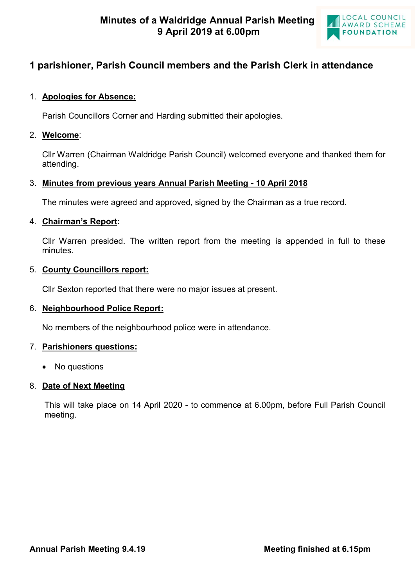

# **1 parishioner, Parish Council members and the Parish Clerk in attendance**

# 1. **Apologies for Absence:**

Parish Councillors Corner and Harding submitted their apologies.

### 2. **Welcome**:

Cllr Warren (Chairman Waldridge Parish Council) welcomed everyone and thanked them for attending.

# 3. **Minutes from previous years Annual Parish Meeting - 10 April 2018**

The minutes were agreed and approved, signed by the Chairman as a true record.

# 4. **Chairman's Report:**

Cllr Warren presided. The written report from the meeting is appended in full to these minutes.

#### 5. **County Councillors report:**

Cllr Sexton reported that there were no major issues at present.

# 6. **Neighbourhood Police Report:**

No members of the neighbourhood police were in attendance.

# 7. **Parishioners questions:**

• No questions

# 8. **Date of Next Meeting**

This will take place on 14 April 2020 - to commence at 6.00pm, before Full Parish Council meeting.